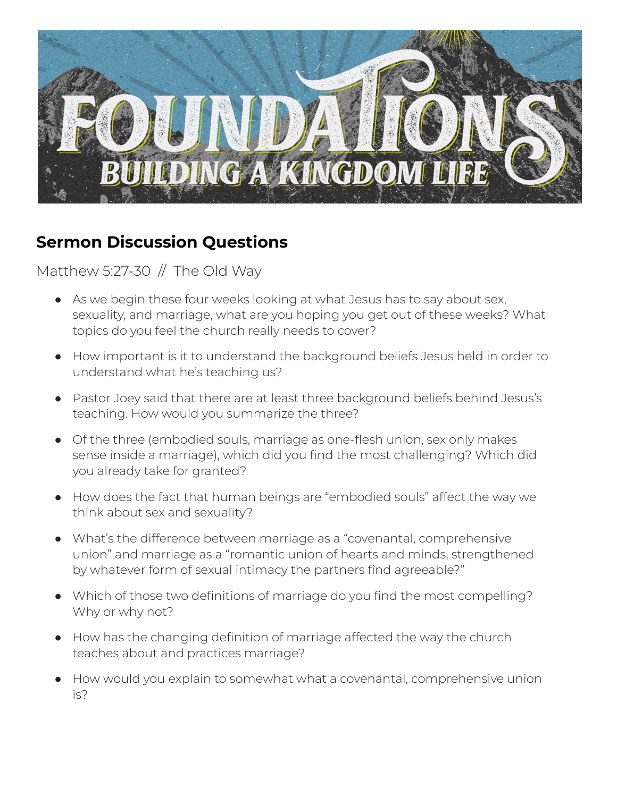

## **Sermon Discussion Questions**

## Matthew 5:27-30  $//$  The Old Way

- As we begin these four weeks looking at what Jesus has to say about sex, sexuality, and marriage, what are you hoping you get out of these weeks? What topics do you feel the church really needs to cover?
- How important is it to understand the background beliefs Jesus held in order to understand what he's teaching us?
- Pastor Joey said that there are at least three background beliefs behind Jesus's teaching. How would you summarize the three?
- Of the three (embodied souls, marriage as one-flesh union, sex only makes sense inside a marriage), which did you find the most challenging? Which did you already take for granted?
- How does the fact that human beings are "embodied souls" affect the way we think about sex and sexuality?
- What's the difference between marriage as a "covenantal, comprehensive union" and marriage as a "romantic union of hearts and minds, strengthened by whatever form of sexual intimacy the partners find agreeable?"
- Which of those two definitions of marriage do you find the most compelling? Why or why not?
- How has the changing definition of marriage affected the way the church teaches about and practices marriage?
- How would you explain to somewhat what a covenantal, comprehensive union is?